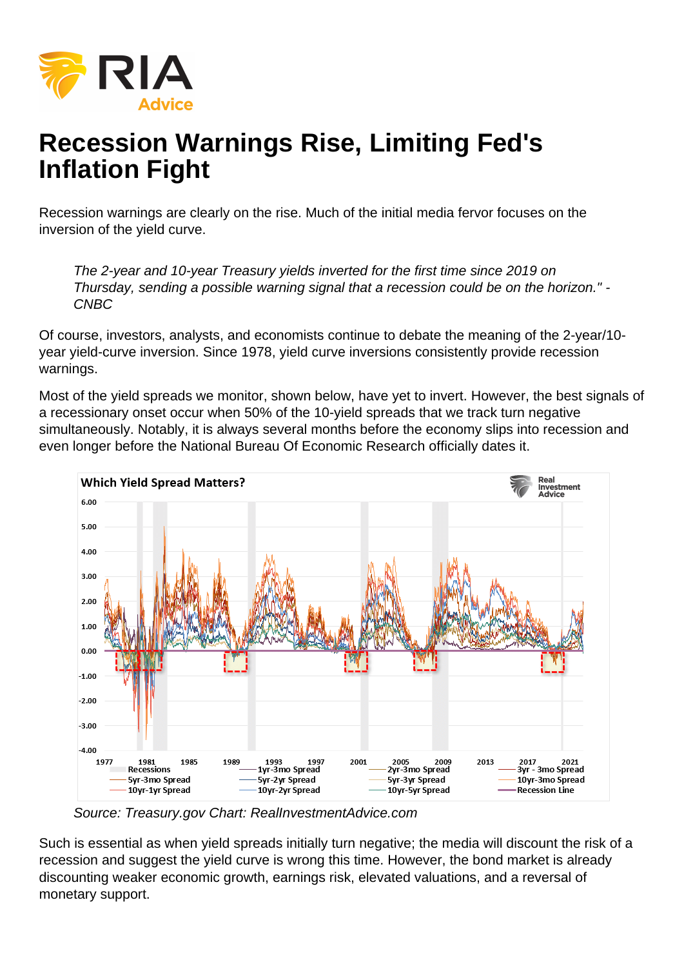## Recession Warnings Rise, Limiting Fed's Inflation Fight

Recession warnings are clearly on the rise. Much of the initial media fervor focuses on the inversion of the yield curve.

The 2-year and 10-year Treasury yields inverted for the first time since 2019 on Thursday, sending a possible warning signal that a recession could be on the horizon." - CNBC

Of course, investors, analysts, and economists continue to debate the meaning of the 2-year/10 year yield-curve inversion. Since 1978, yield curve inversions consistently provide recession warnings.

Most of the yield spreads we monitor, shown below, have yet to invert. However, the best signals of a recessionary onset occur when 50% of the 10-yield spreads that we track turn negative simultaneously. Notably, it is always several months before the economy slips into recession and even longer before the National Bureau Of Economic Research officially dates it.

Source: Treasury.gov Chart: RealInvestmentAdvice.com

Such is essential as when yield spreads initially turn negative; the media will discount the risk of a recession and suggest the yield curve is wrong this time. However, the bond market is already discounting weaker economic growth, earnings risk, elevated valuations, and a reversal of monetary support.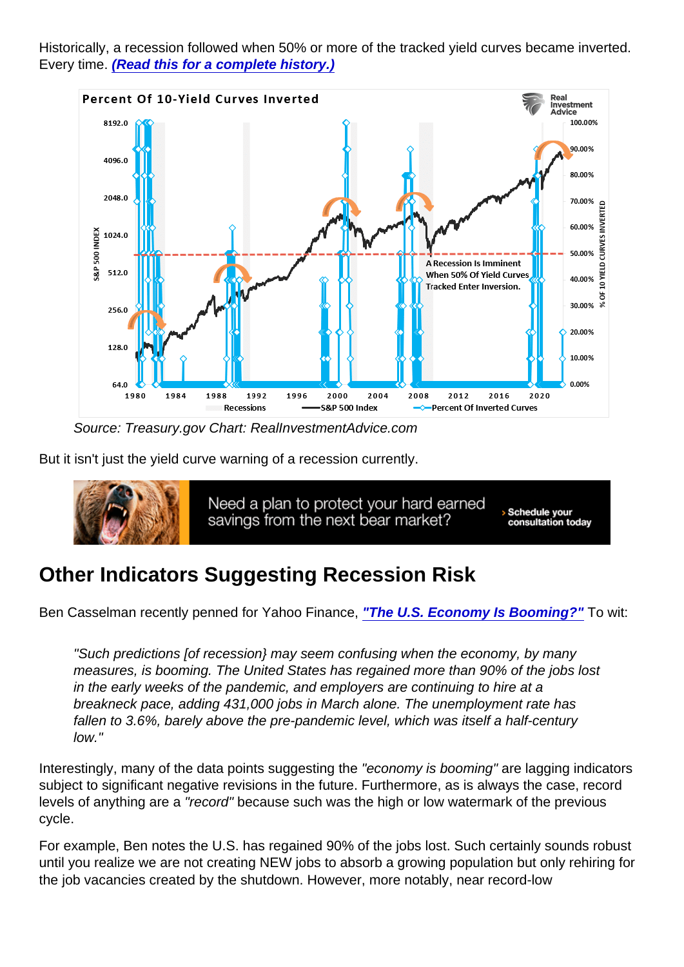Historically, a recession followed when 50% or more of the tracked yield curves became inverted. Every time. [\(Read this for a complete history.\)](https://realinvestmentadvice.com/inverted-yield-curve-history-should-worry-bulls/)

Source: Treasury.gov Chart: RealInvestmentAdvice.com

But it isn't just the yield curve warning of a recession currently.

## Other Indicators Suggesting Recession Risk

Ben Casselman recently penned for Yahoo Finance, ["The U.S. Economy Is Booming?"](https://news.yahoo.com/u-economy-booming-why-economists-115138897.html) To wit:

"Such predictions [of recession} may seem confusing when the economy, by many measures, is booming. The United States has regained more than 90% of the jobs lost in the early weeks of the pandemic, and employers are continuing to hire at a breakneck pace, adding 431,000 jobs in March alone. The unemployment rate has fallen to 3.6%, barely above the pre-pandemic level, which was itself a half-century low."

Interestingly, many of the data points suggesting the "economy is booming" are lagging indicators subject to significant negative revisions in the future. Furthermore, as is always the case, record levels of anything are a "record" because such was the high or low watermark of the previous cycle.

For example, Ben notes the U.S. has regained 90% of the jobs lost. Such certainly sounds robust until you realize we are not creating NEW jobs to absorb a growing population but only rehiring for the job vacancies created by the shutdown. However, more notably, near record-low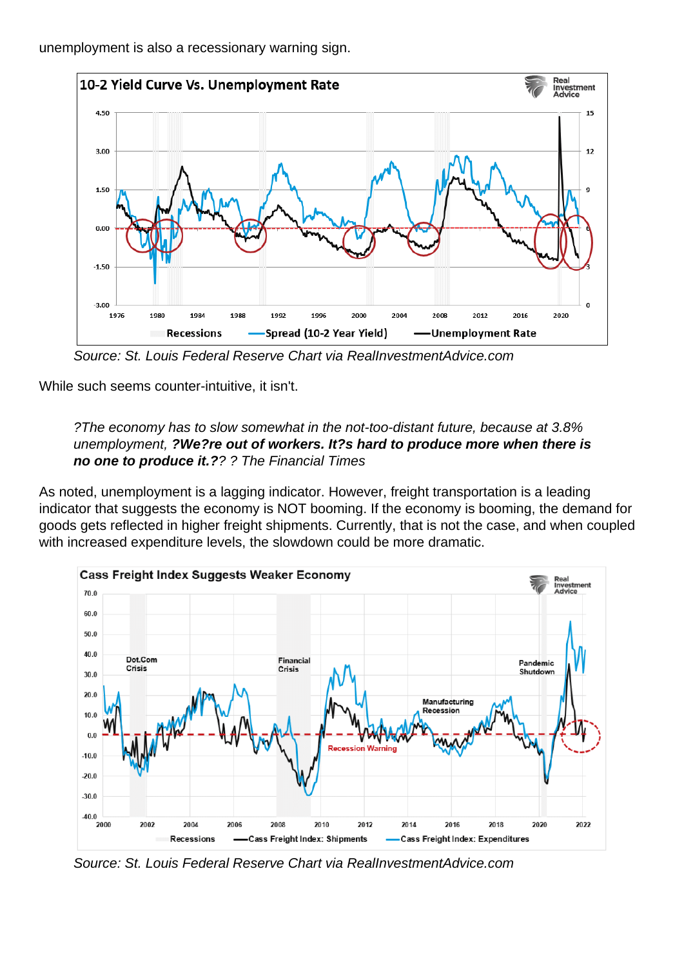unemployment is also a recessionary warning sign.

Source: St. Louis Federal Reserve Chart via RealInvestmentAdvice.com

While such seems counter-intuitive, it isn't.

?The economy has to slow somewhat in the not-too-distant future, because at 3.8% unemployment, ?We?re out of workers. It?s hard to produce more when there is no one to produce it.? ? ? The Financial Times

As noted, unemployment is a lagging indicator. However, freight transportation is a leading indicator that suggests the economy is NOT booming. If the economy is booming, the demand for goods gets reflected in higher freight shipments. Currently, that is not the case, and when coupled with increased expenditure levels, the slowdown could be more dramatic.

Source: St. Louis Federal Reserve Chart via RealInvestmentAdvice.com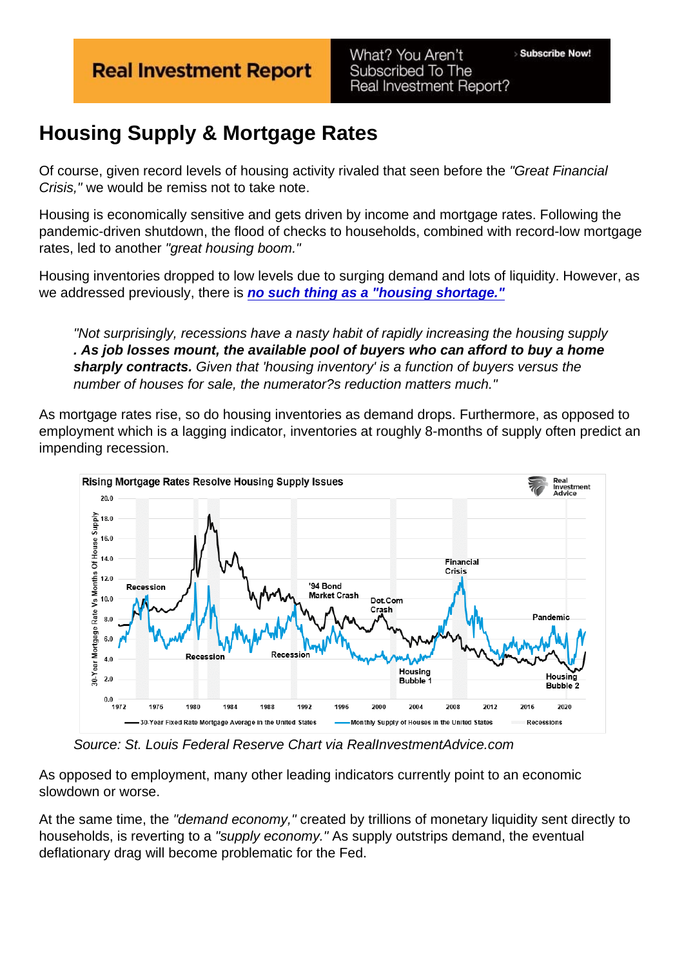## Housing Supply & Mortgage Rates

Of course, given record levels of housing activity rivaled that seen before the "Great Financial Crisis," we would be remiss not to take note.

Housing is economically sensitive and gets driven by income and mortgage rates. Following the pandemic-driven shutdown, the flood of checks to households, combined with record-low mortgage rates, led to another "great housing boom."

Housing inventories dropped to low levels due to surging demand and lots of liquidity. However, as we addressed previously, there is [no such thing as a "housing shortage."](https://realinvestmentadvice.com/3-reasons-why-there-really-is-no-housing-shortage/)

"Not surprisingly, recessions have a nasty habit of rapidly increasing the housing supply . As job losses mount, the available pool of buyers who can afford to buy a home sharply contracts. Given that 'housing inventory' is a function of buyers versus the number of houses for sale, the numerator?s reduction matters much."

As mortgage rates rise, so do housing inventories as demand drops. Furthermore, as opposed to employment which is a lagging indicator, inventories at roughly 8-months of supply often predict an impending recession.

Source: St. Louis Federal Reserve Chart via RealInvestmentAdvice.com

As opposed to employment, many other leading indicators currently point to an economic slowdown or worse.

At the same time, the "demand economy," created by trillions of monetary liquidity sent directly to households, is reverting to a "supply economy." As supply outstrips demand, the eventual deflationary drag will become problematic for the Fed.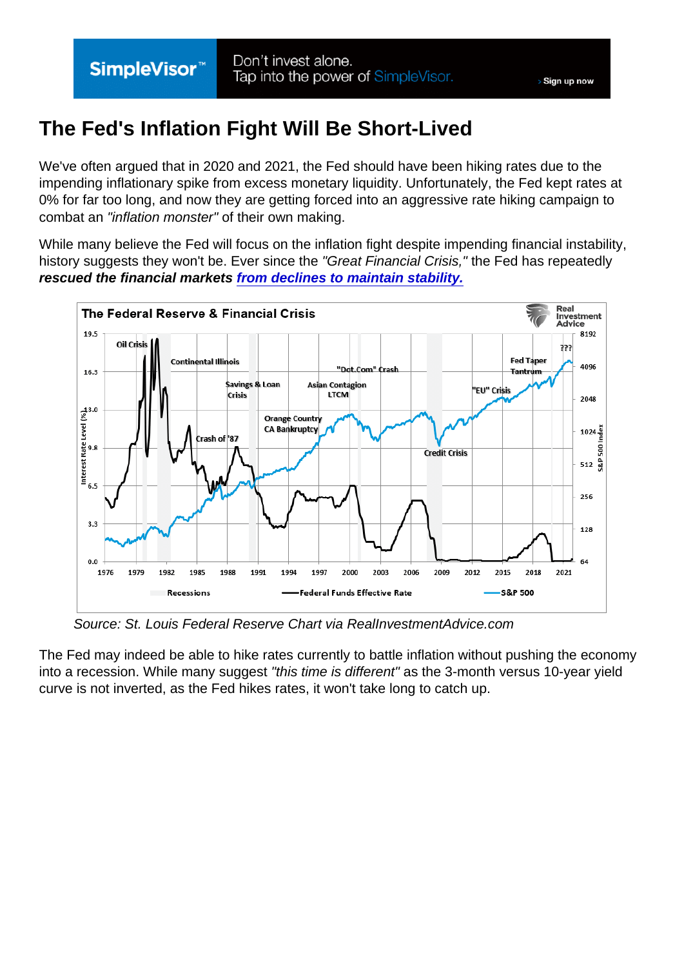## The Fed's Inflation Fight Will Be Short-Lived

We've often argued that in 2020 and 2021, the Fed should have been hiking rates due to the impending inflationary spike from excess monetary liquidity. Unfortunately, the Fed kept rates at 0% for far too long, and now they are getting forced into an aggressive rate hiking campaign to combat an "inflation monster" of their own making.

While many believe the Fed will focus on the inflation fight despite impending financial instability, history suggests they won't be. Ever since the "Great Financial Crisis," the Fed has repeatedly rescued the financial markets [from declines to maintain stability.](https://realinvestmentadvice.com/fed-rate-hikes-risks-of-financial-instability-part-ii/)

Source: St. Louis Federal Reserve Chart via RealInvestmentAdvice.com

The Fed may indeed be able to hike rates currently to battle inflation without pushing the economy into a recession. While many suggest "this time is different" as the 3-month versus 10-year yield curve is not inverted, as the Fed hikes rates, it won't take long to catch up.